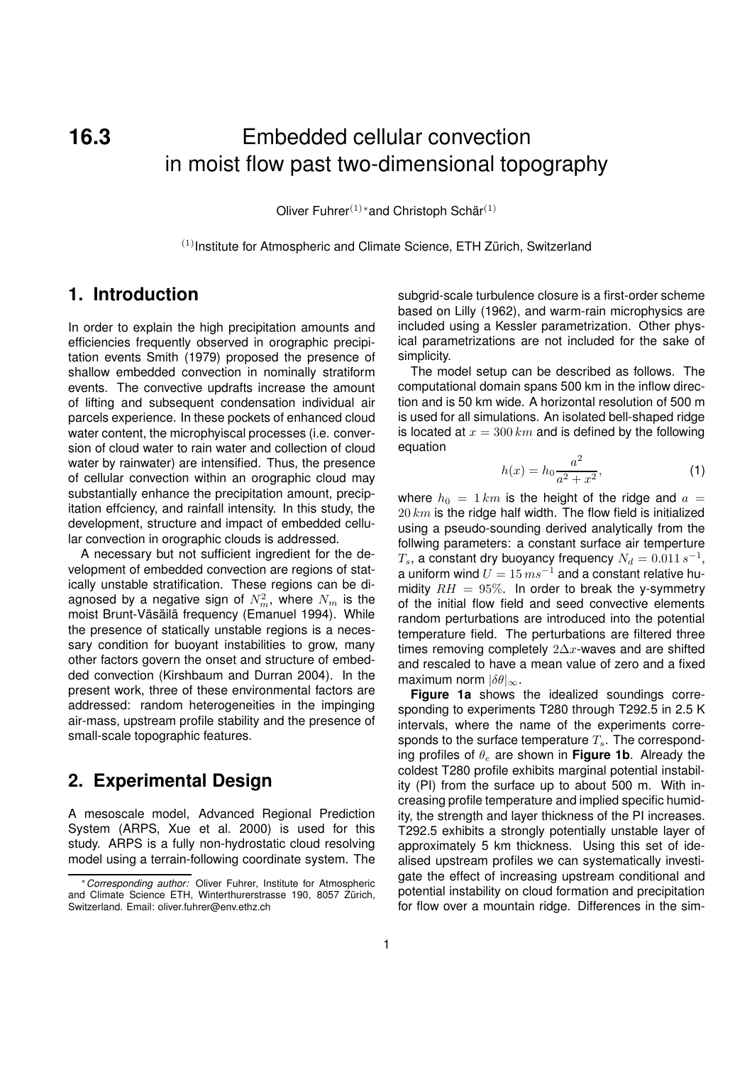**16.3** Embedded cellular convection in moist flow past two-dimensional topography

Oliver Fuhrer $^{(1)*}$ and Christoph Schär $^{(1)}$ 

 $(1)$ Institute for Atmospheric and Climate Science, ETH Zürich, Switzerland

## **1. Introduction**

In order to explain the high precipitation amounts and efficiencies frequently observed in orographic precipitation events Smith (1979) proposed the presence of shallow embedded convection in nominally stratiform events. The convective updrafts increase the amount of lifting and subsequent condensation individual air parcels experience. In these pockets of enhanced cloud water content, the microphyiscal processes (i.e. conversion of cloud water to rain water and collection of cloud water by rainwater) are intensified. Thus, the presence of cellular convection within an orographic cloud may substantially enhance the precipitation amount, precipitation effciency, and rainfall intensity. In this study, the development, structure and impact of embedded cellular convection in orographic clouds is addressed.

A necessary but not sufficient ingredient for the development of embedded convection are regions of statically unstable stratification. These regions can be diagnosed by a negative sign of  $N_m^2$ , where  $N_m$  is the moist Brunt-Väsäilä frequency (Emanuel 1994). While the presence of statically unstable regions is a necessary condition for buoyant instabilities to grow, many other factors govern the onset and structure of embedded convection (Kirshbaum and Durran 2004). In the present work, three of these environmental factors are addressed: random heterogeneities in the impinging air-mass, upstream profile stability and the presence of small-scale topographic features.

# **2. Experimental Design**

A mesoscale model, Advanced Regional Prediction System (ARPS, Xue et al. 2000) is used for this study. ARPS is a fully non-hydrostatic cloud resolving model using a terrain-following coordinate system. The

subgrid-scale turbulence closure is a first-order scheme based on Lilly (1962), and warm-rain microphysics are included using a Kessler parametrization. Other physical parametrizations are not included for the sake of simplicity.

The model setup can be described as follows. The computational domain spans 500 km in the inflow direction and is 50 km wide. A horizontal resolution of 500 m is used for all simulations. An isolated bell-shaped ridge is located at  $x = 300 \, km$  and is defined by the following equation

$$
h(x) = h_0 \frac{a^2}{a^2 + x^2},
$$
 (1)

where  $h_0 = 1 \, km$  is the height of the ridge and  $a =$  $20 \, km$  is the ridge half width. The flow field is initialized using a pseudo-sounding derived analytically from the follwing parameters: a constant surface air temperture  $T_s$ , a constant dry buoyancy frequency  $N_d = 0.011\, s^{-1}$ , a uniform wind  $U = 15 m s^{-1}$  and a constant relative humidity  $RH = 95\%$ . In order to break the y-symmetry of the initial flow field and seed convective elements random perturbations are introduced into the potential temperature field. The perturbations are filtered three times removing completely  $2\Delta x$ -waves and are shifted and rescaled to have a mean value of zero and a fixed maximum norm  $|\delta \theta|_{\infty}$ .

**Figure 1a** shows the idealized soundings corresponding to experiments T280 through T292.5 in 2.5 K intervals, where the name of the experiments corresponds to the surface temperature  $T_s$ . The corresponding profiles of  $\theta_e$  are shown in **Figure 1b**. Already the coldest T280 profile exhibits marginal potential instability (PI) from the surface up to about 500 m. With increasing profile temperature and implied specific humidity, the strength and layer thickness of the PI increases. T292.5 exhibits a strongly potentially unstable layer of approximately 5 km thickness. Using this set of idealised upstream profiles we can systematically investigate the effect of increasing upstream conditional and potential instability on cloud formation and precipitation for flow over a mountain ridge. Differences in the sim-

<sup>∗</sup>Corresponding author: Oliver Fuhrer, Institute for Atmospheric and Climate Science ETH, Winterthurerstrasse 190, 8057 Zürich, Switzerland. Email: oliver.fuhrer@env.ethz.ch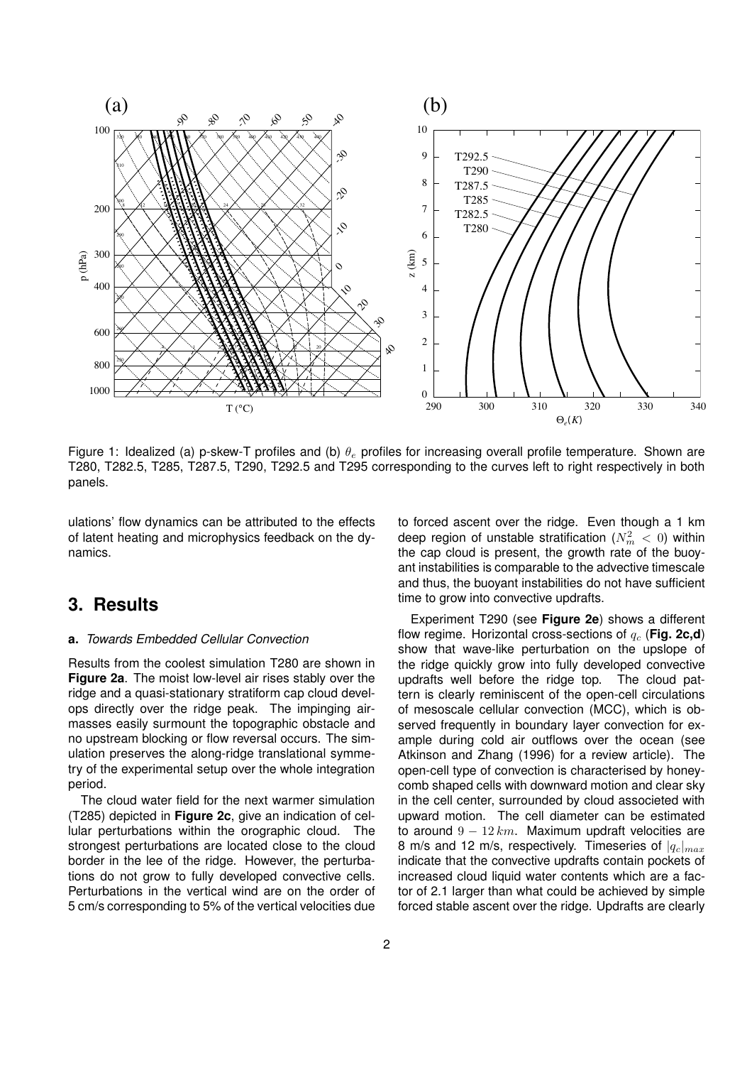

Figure 1: Idealized (a) p-skew-T profiles and (b)  $\theta_e$  profiles for increasing overall profile temperature. Shown are T280, T282.5, T285, T287.5, T290, T292.5 and T295 corresponding to the curves left to right respectively in both panels.

ulations' flow dynamics can be attributed to the effects of latent heating and microphysics feedback on the dynamics.

### **3. Results**

#### **a.** Towards Embedded Cellular Convection

Results from the coolest simulation T280 are shown in **Figure 2a**. The moist low-level air rises stably over the ridge and a quasi-stationary stratiform cap cloud develops directly over the ridge peak. The impinging airmasses easily surmount the topographic obstacle and no upstream blocking or flow reversal occurs. The simulation preserves the along-ridge translational symmetry of the experimental setup over the whole integration period.

The cloud water field for the next warmer simulation (T285) depicted in **Figure 2c**, give an indication of cellular perturbations within the orographic cloud. The strongest perturbations are located close to the cloud border in the lee of the ridge. However, the perturbations do not grow to fully developed convective cells. Perturbations in the vertical wind are on the order of 5 cm/s corresponding to 5% of the vertical velocities due to forced ascent over the ridge. Even though a 1 km deep region of unstable stratification  $(N_m^2\,<\,0)$  within the cap cloud is present, the growth rate of the buoyant instabilities is comparable to the advective timescale and thus, the buoyant instabilities do not have sufficient time to grow into convective updrafts.

Experiment T290 (see **Figure 2e**) shows a different flow regime. Horizontal cross-sections of  $q_c$  (Fig. 2c,d) show that wave-like perturbation on the upslope of the ridge quickly grow into fully developed convective updrafts well before the ridge top. The cloud pattern is clearly reminiscent of the open-cell circulations of mesoscale cellular convection (MCC), which is observed frequently in boundary layer convection for example during cold air outflows over the ocean (see Atkinson and Zhang (1996) for a review article). The open-cell type of convection is characterised by honeycomb shaped cells with downward motion and clear sky in the cell center, surrounded by cloud associeted with upward motion. The cell diameter can be estimated to around  $9 - 12 km$ . Maximum updraft velocities are 8 m/s and 12 m/s, respectively. Timeseries of  $|q_c|_{max}$ indicate that the convective updrafts contain pockets of increased cloud liquid water contents which are a factor of 2.1 larger than what could be achieved by simple forced stable ascent over the ridge. Updrafts are clearly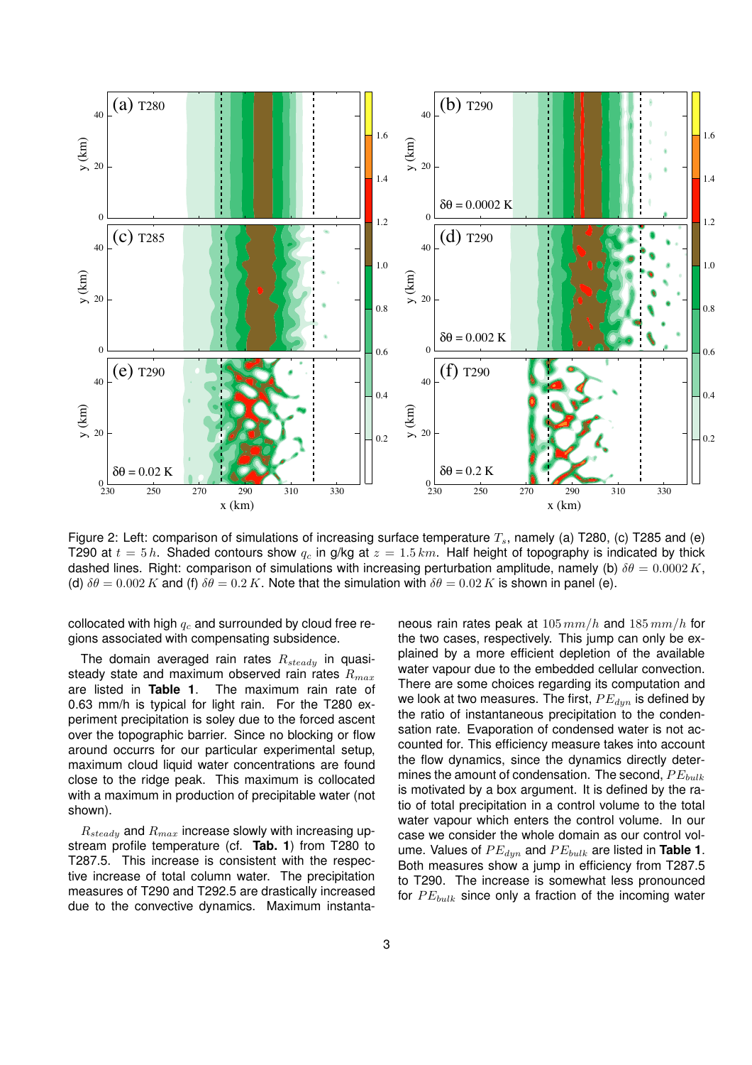

Figure 2: Left: comparison of simulations of increasing surface temperature  $T_s$ , namely (a) T280, (c) T285 and (e) T290 at  $t = 5 h$ . Shaded contours show  $q_c$  in g/kg at  $z = 1.5 km$ . Half height of topography is indicated by thick dashed lines. Right: comparison of simulations with increasing perturbation amplitude, namely (b)  $\delta\theta = 0.0002 K$ , (d)  $\delta\theta = 0.002 K$  and (f)  $\delta\theta = 0.2 K$ . Note that the simulation with  $\delta\theta = 0.02 K$  is shown in panel (e).

collocated with high  $q_c$  and surrounded by cloud free regions associated with compensating subsidence.

The domain averaged rain rates  $R_{steady}$  in quasisteady state and maximum observed rain rates  $R_{max}$ are listed in **Table 1**. The maximum rain rate of 0.63 mm/h is typical for light rain. For the T280 experiment precipitation is soley due to the forced ascent over the topographic barrier. Since no blocking or flow around occurrs for our particular experimental setup, maximum cloud liquid water concentrations are found close to the ridge peak. This maximum is collocated with a maximum in production of precipitable water (not shown).

 $R_{steady}$  and  $R_{max}$  increase slowly with increasing upstream profile temperature (cf. **Tab. 1**) from T280 to T287.5. This increase is consistent with the respective increase of total column water. The precipitation measures of T290 and T292.5 are drastically increased due to the convective dynamics. Maximum instantaneous rain rates peak at  $105 \, mm/h$  and  $185 \, mm/h$  for the two cases, respectively. This jump can only be explained by a more efficient depletion of the available water vapour due to the embedded cellular convection. There are some choices regarding its computation and we look at two measures. The first,  $PE_{dyn}$  is defined by the ratio of instantaneous precipitation to the condensation rate. Evaporation of condensed water is not accounted for. This efficiency measure takes into account the flow dynamics, since the dynamics directly determines the amount of condensation. The second,  $PE_{bulk}$ is motivated by a box argument. It is defined by the ratio of total precipitation in a control volume to the total water vapour which enters the control volume. In our case we consider the whole domain as our control volume. Values of  $PE_{dur}$  and  $PE_{bulk}$  are listed in Table 1. Both measures show a jump in efficiency from T287.5 to T290. The increase is somewhat less pronounced for  $PE_{bulk}$  since only a fraction of the incoming water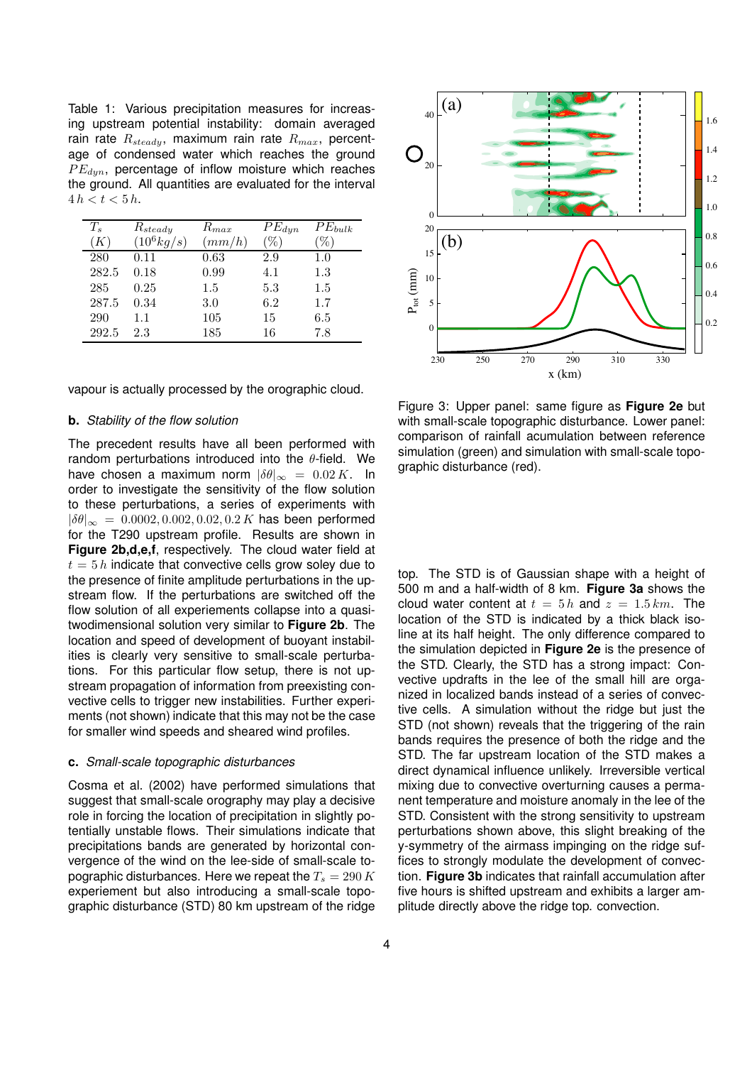Table 1: Various precipitation measures for increasing upstream potential instability: domain averaged rain rate  $R_{steady}$ , maximum rain rate  $R_{max}$ , percentage of condensed water which reaches the ground  $PE_{dun}$ , percentage of inflow moisture which reaches the ground. All quantities are evaluated for the interval  $4 h < t < 5 h$ .

| $T_s$ | $R_{steady}$          | $R_{max}$ | $PE_{dyn}$ | $PE_{bulk}$ |
|-------|-----------------------|-----------|------------|-------------|
| K     | $(10^6 \frac{kq}{s})$ | (mm/h)    | $\%$ .     | $\%$ .      |
| 280   | 0.11                  | 0.63      | 2.9        | $1.0\,$     |
| 282.5 | 0.18                  | 0.99      | 4.1        | $1.3\,$     |
| 285   | 0.25                  | $1.5\,$   | 5.3        | 1.5         |
| 287.5 | 0.34                  | 3.0       | 6.2        | 1.7         |
| 290   | 1.1                   | 105       | 15         | 6.5         |
| 292.5 | 2.3                   | 185       | 16         | 7.8         |

vapour is actually processed by the orographic cloud.

#### **b.** Stability of the flow solution

The precedent results have all been performed with random perturbations introduced into the  $\theta$ -field. We have chosen a maximum norm  $|\delta\theta|_{\infty} = 0.02 K$ . In order to investigate the sensitivity of the flow solution to these perturbations, a series of experiments with  $|\delta\theta|_{\infty} = 0.0002, 0.002, 0.02, 0.2 K$  has been performed for the T290 upstream profile. Results are shown in **Figure 2b,d,e,f**, respectively. The cloud water field at  $t = 5 h$  indicate that convective cells grow soley due to the presence of finite amplitude perturbations in the upstream flow. If the perturbations are switched off the flow solution of all experiements collapse into a quasitwodimensional solution very similar to **Figure 2b**. The location and speed of development of buoyant instabilities is clearly very sensitive to small-scale perturbations. For this particular flow setup, there is not upstream propagation of information from preexisting convective cells to trigger new instabilities. Further experiments (not shown) indicate that this may not be the case for smaller wind speeds and sheared wind profiles.

#### **c.** Small-scale topographic disturbances

Cosma et al. (2002) have performed simulations that suggest that small-scale orography may play a decisive role in forcing the location of precipitation in slightly potentially unstable flows. Their simulations indicate that precipitations bands are generated by horizontal convergence of the wind on the lee-side of small-scale topographic disturbances. Here we repeat the  $T_s = 290 K$ experiement but also introducing a small-scale topographic disturbance (STD) 80 km upstream of the ridge



Figure 3: Upper panel: same figure as **Figure 2e** but with small-scale topographic disturbance. Lower panel: comparison of rainfall acumulation between reference simulation (green) and simulation with small-scale topographic disturbance (red).

top. The STD is of Gaussian shape with a height of 500 m and a half-width of 8 km. **Figure 3a** shows the cloud water content at  $t = 5 h$  and  $z = 1.5 km$ . The location of the STD is indicated by a thick black isoline at its half height. The only difference compared to the simulation depicted in **Figure 2e** is the presence of the STD. Clearly, the STD has a strong impact: Convective updrafts in the lee of the small hill are organized in localized bands instead of a series of convective cells. A simulation without the ridge but just the STD (not shown) reveals that the triggering of the rain bands requires the presence of both the ridge and the STD. The far upstream location of the STD makes a direct dynamical influence unlikely. Irreversible vertical mixing due to convective overturning causes a permanent temperature and moisture anomaly in the lee of the STD. Consistent with the strong sensitivity to upstream perturbations shown above, this slight breaking of the y-symmetry of the airmass impinging on the ridge suffices to strongly modulate the development of convection. **Figure 3b** indicates that rainfall accumulation after five hours is shifted upstream and exhibits a larger amplitude directly above the ridge top. convection.